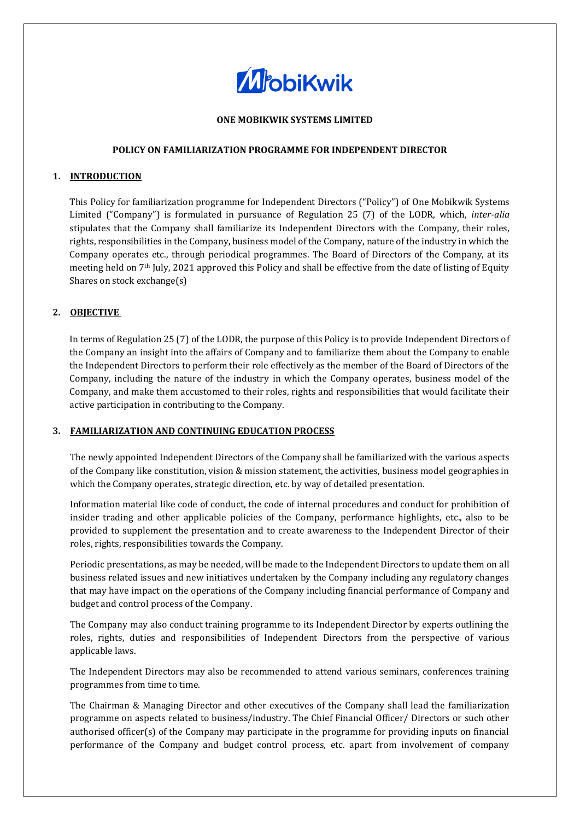

# **ONE MOBIKWIK SYSTEMS LIMITED**

### **POLICY ON FAMILIARIZATION PROGRAMME FOR INDEPENDENT DIRECTOR**

# **1. INTRODUCTION**

This Policy for familiarization programme for Independent Directors ("Policy") of One Mobikwik Systems Limited ("Company") is formulated in pursuance of Regulation 25 (7) of the LODR, which, *inter-alia* stipulates that the Company shall familiarize its Independent Directors with the Company, their roles, rights, responsibilities in the Company, business model of the Company, nature of the industry in which the Company operates etc., through periodical programmes. The Board of Directors of the Company, at its meeting held on 7th July, 2021 approved this Policy and shall be effective from the date of listing of Equity Shares on stock exchange(s)

## **2. OBJECTIVE**

In terms of Regulation 25 (7) of the LODR, the purpose of this Policy is to provide Independent Directors of the Company an insight into the affairs of Company and to familiarize them about the Company to enable the Independent Directors to perform their role effectively as the member of the Board of Directors of the Company, including the nature of the industry in which the Company operates, business model of the Company, and make them accustomed to their roles, rights and responsibilities that would facilitate their active participation in contributing to the Company.

### **3. FAMILIARIZATION AND CONTINUING EDUCATION PROCESS**

The newly appointed Independent Directors of the Company shall be familiarized with the various aspects of the Company like constitution, vision & mission statement, the activities, business model geographies in which the Company operates, strategic direction, etc. by way of detailed presentation.

Information material like code of conduct, the code of internal procedures and conduct for prohibition of insider trading and other applicable policies of the Company, performance highlights, etc., also to be provided to supplement the presentation and to create awareness to the Independent Director of their roles, rights, responsibilities towards the Company.

Periodic presentations, as may be needed, will be made to the Independent Directors to update them on all business related issues and new initiatives undertaken by the Company including any regulatory changes that may have impact on the operations of the Company including financial performance of Company and budget and control process of the Company.

The Company may also conduct training programme to its Independent Director by experts outlining the roles, rights, duties and responsibilities of Independent Directors from the perspective of various applicable laws.

The Independent Directors may also be recommended to attend various seminars, conferences training programmes from time to time.

The Chairman & Managing Director and other executives of the Company shall lead the familiarization programme on aspects related to business/industry. The Chief Financial Officer/ Directors or such other authorised officer(s) of the Company may participate in the programme for providing inputs on financial performance of the Company and budget control process, etc. apart from involvement of company